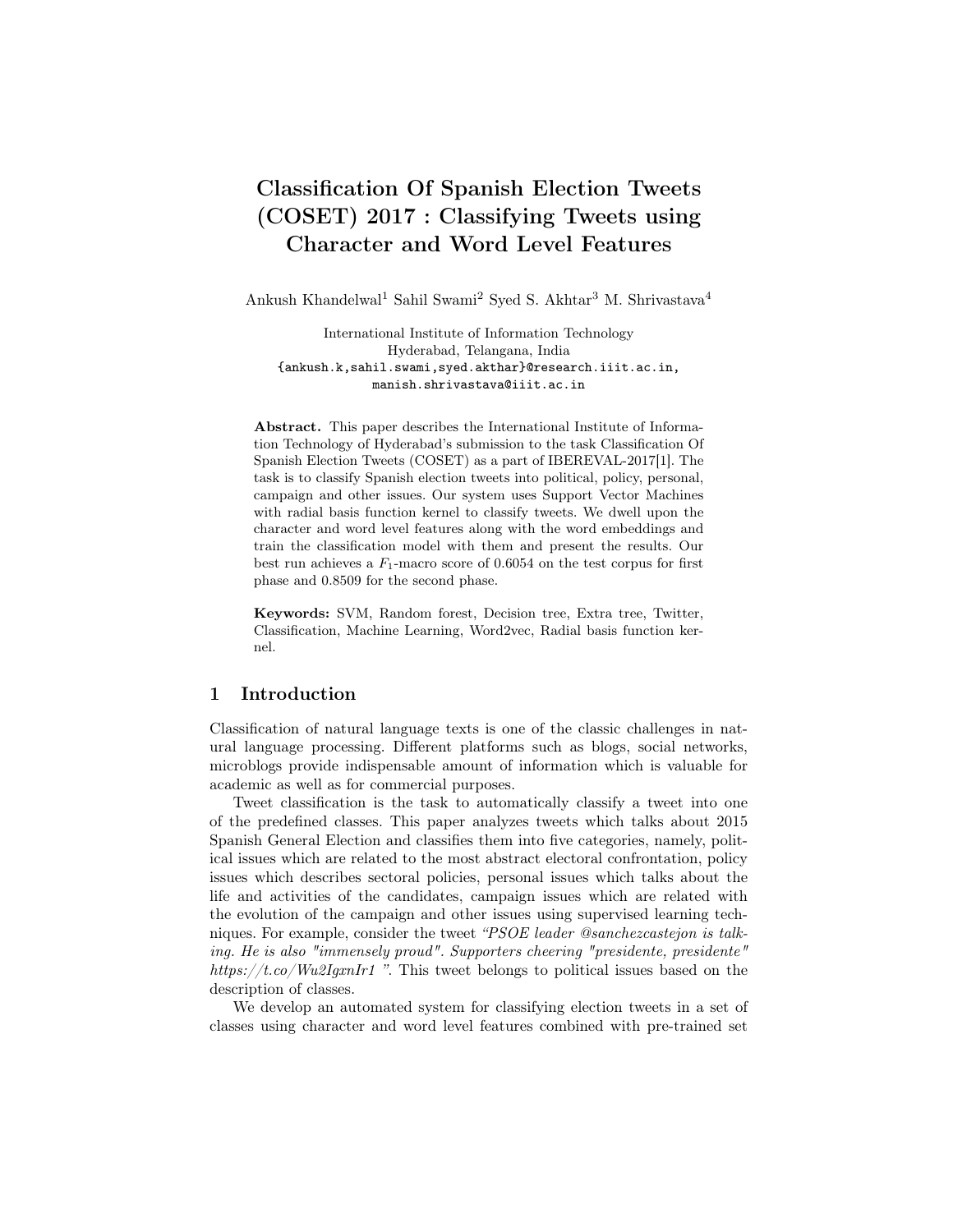# Classification Of Spanish Election Tweets (COSET) 2017 : Classifying Tweets using Character and Word Level Features

Ankush Khandelwal<sup>1</sup> Sahil Swami<sup>2</sup> Syed S. Akhtar<sup>3</sup> M. Shrivastava<sup>4</sup>

International Institute of Information Technology Hyderabad, Telangana, India {ankush.k,sahil.swami,syed.akthar}@research.iiit.ac.in, manish.shrivastava@iiit.ac.in

Abstract. This paper describes the International Institute of Information Technology of Hyderabad's submission to the task Classification Of Spanish Election Tweets (COSET) as a part of IBEREVAL-2017[1]. The task is to classify Spanish election tweets into political, policy, personal, campaign and other issues. Our system uses Support Vector Machines with radial basis function kernel to classify tweets. We dwell upon the character and word level features along with the word embeddings and train the classification model with them and present the results. Our best run achieves a  $F_1$ -macro score of 0.6054 on the test corpus for first phase and 0.8509 for the second phase.

Keywords: SVM, Random forest, Decision tree, Extra tree, Twitter, Classification, Machine Learning, Word2vec, Radial basis function kernel.

### 1 Introduction

Classification of natural language texts is one of the classic challenges in natural language processing. Different platforms such as blogs, social networks, microblogs provide indispensable amount of information which is valuable for academic as well as for commercial purposes.

Tweet classification is the task to automatically classify a tweet into one of the predefined classes. This paper analyzes tweets which talks about 2015 Spanish General Election and classifies them into five categories, namely, political issues which are related to the most abstract electoral confrontation, policy issues which describes sectoral policies, personal issues which talks about the life and activities of the candidates, campaign issues which are related with the evolution of the campaign and other issues using supervised learning techniques. For example, consider the tweet "PSOE leader @sanchezcastejon is talking. He is also "immensely proud". Supporters cheering "presidente, presidente" https://t.co/Wu2IgxnIr1 ". This tweet belongs to political issues based on the description of classes.

We develop an automated system for classifying election tweets in a set of classes using character and word level features combined with pre-trained set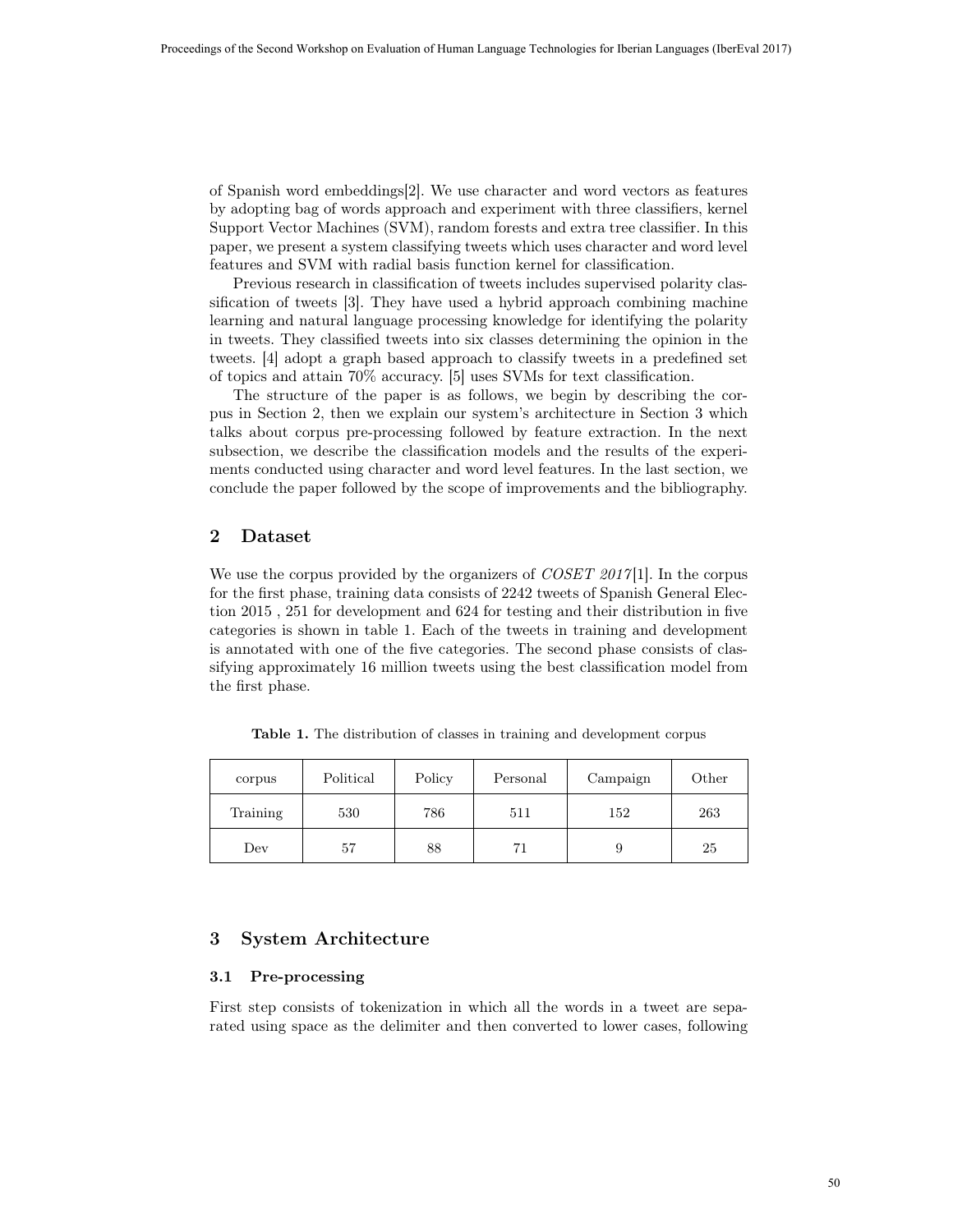of Spanish word embeddings[2]. We use character and word vectors as features by adopting bag of words approach and experiment with three classifiers, kernel Support Vector Machines (SVM), random forests and extra tree classifier. In this paper, we present a system classifying tweets which uses character and word level features and SVM with radial basis function kernel for classification.

Previous research in classification of tweets includes supervised polarity classification of tweets [3]. They have used a hybrid approach combining machine learning and natural language processing knowledge for identifying the polarity in tweets. They classified tweets into six classes determining the opinion in the tweets. [4] adopt a graph based approach to classify tweets in a predefined set of topics and attain 70% accuracy. [5] uses SVMs for text classification.

The structure of the paper is as follows, we begin by describing the corpus in Section 2, then we explain our system's architecture in Section 3 which talks about corpus pre-processing followed by feature extraction. In the next subsection, we describe the classification models and the results of the experiments conducted using character and word level features. In the last section, we conclude the paper followed by the scope of improvements and the bibliography.

## 2 Dataset

We use the corpus provided by the organizers of  $\textit{COSET 2017}[1]$ . In the corpus for the first phase, training data consists of 2242 tweets of Spanish General Election 2015 , 251 for development and 624 for testing and their distribution in five categories is shown in table 1. Each of the tweets in training and development is annotated with one of the five categories. The second phase consists of classifying approximately 16 million tweets using the best classification model from the first phase.

Table 1. The distribution of classes in training and development corpus

| corpus   | Political | Policy | Personal | Campaign | Other |
|----------|-----------|--------|----------|----------|-------|
| Training | 530       | 786    | 511      | 152      | 263   |
| Dev      | 57        | 88     | 71       |          | 25    |

# 3 System Architecture

#### 3.1 Pre-processing

First step consists of tokenization in which all the words in a tweet are separated using space as the delimiter and then converted to lower cases, following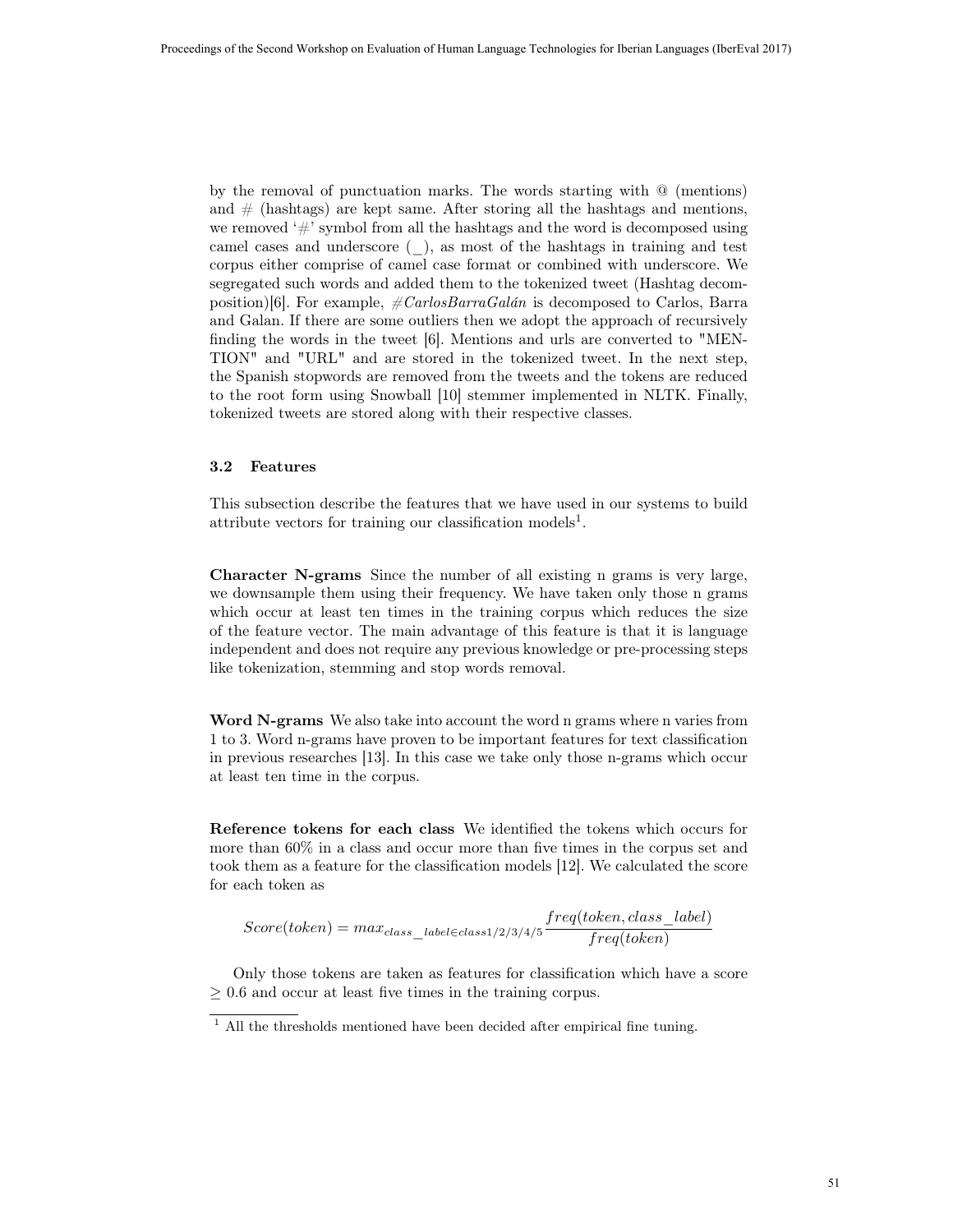by the removal of punctuation marks. The words starting with @ (mentions) and  $\#$  (hashtags) are kept same. After storing all the hashtags and mentions, we removed  $#$ ' symbol from all the hashtags and the word is decomposed using camel cases and underscore (\_), as most of the hashtags in training and test corpus either comprise of camel case format or combined with underscore. We segregated such words and added them to the tokenized tweet (Hashtag decomposition)[6]. For example,  $\# CarlosBarraGalán$  is decomposed to Carlos, Barra and Galan. If there are some outliers then we adopt the approach of recursively finding the words in the tweet [6]. Mentions and urls are converted to "MEN-TION" and "URL" and are stored in the tokenized tweet. In the next step, the Spanish stopwords are removed from the tweets and the tokens are reduced to the root form using Snowball [10] stemmer implemented in NLTK. Finally, tokenized tweets are stored along with their respective classes.

#### 3.2 Features

This subsection describe the features that we have used in our systems to build attribute vectors for training our classification models<sup>1</sup>.

Character N-grams Since the number of all existing n grams is very large, we downsample them using their frequency. We have taken only those n grams which occur at least ten times in the training corpus which reduces the size of the feature vector. The main advantage of this feature is that it is language independent and does not require any previous knowledge or pre-processing steps like tokenization, stemming and stop words removal.

Word N-grams We also take into account the word n grams where n varies from 1 to 3. Word n-grams have proven to be important features for text classification in previous researches [13]. In this case we take only those n-grams which occur at least ten time in the corpus.

Reference tokens for each class We identified the tokens which occurs for more than 60% in a class and occur more than five times in the corpus set and took them as a feature for the classification models [12]. We calculated the score for each token as

$$
Score(token) = max_{class\_label \in class 1/2/3/4/5} \frac{freq(token, class\_label)} freq(token)
$$

Only those tokens are taken as features for classification which have a score  $\geq 0.6$  and occur at least five times in the training corpus.

 $1$  All the thresholds mentioned have been decided after empirical fine tuning.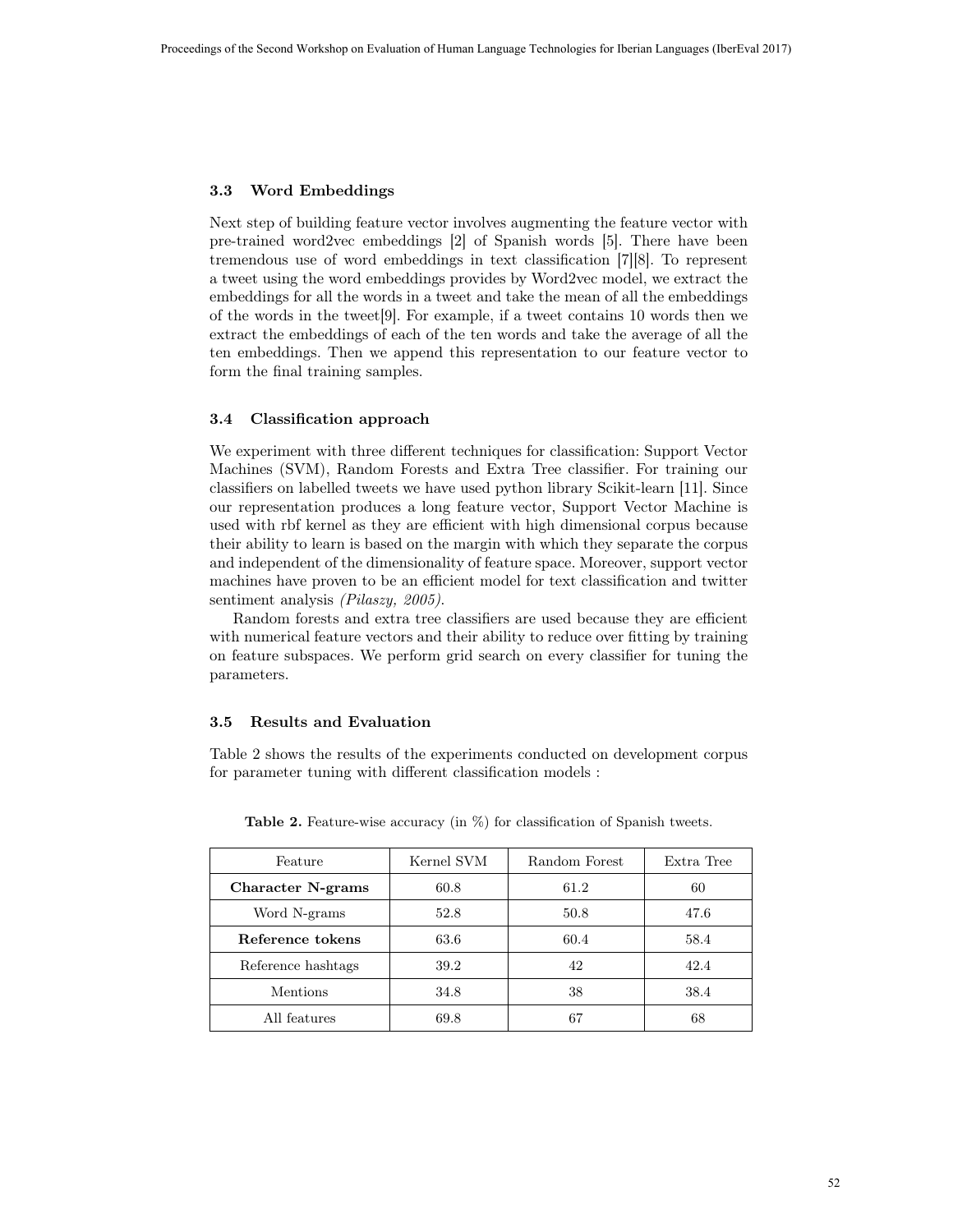#### 3.3 Word Embeddings

Next step of building feature vector involves augmenting the feature vector with pre-trained word2vec embeddings [2] of Spanish words [5]. There have been tremendous use of word embeddings in text classification [7][8]. To represent a tweet using the word embeddings provides by Word2vec model, we extract the embeddings for all the words in a tweet and take the mean of all the embeddings of the words in the tweet[9]. For example, if a tweet contains 10 words then we extract the embeddings of each of the ten words and take the average of all the ten embeddings. Then we append this representation to our feature vector to form the final training samples.

#### 3.4 Classification approach

We experiment with three different techniques for classification: Support Vector Machines (SVM), Random Forests and Extra Tree classifier. For training our classifiers on labelled tweets we have used python library Scikit-learn [11]. Since our representation produces a long feature vector, Support Vector Machine is used with rbf kernel as they are efficient with high dimensional corpus because their ability to learn is based on the margin with which they separate the corpus and independent of the dimensionality of feature space. Moreover, support vector machines have proven to be an efficient model for text classification and twitter sentiment analysis *(Pilaszy, 2005)*.

Random forests and extra tree classifiers are used because they are efficient with numerical feature vectors and their ability to reduce over fitting by training on feature subspaces. We perform grid search on every classifier for tuning the parameters.

#### 3.5 Results and Evaluation

Table 2 shows the results of the experiments conducted on development corpus for parameter tuning with different classification models :

| Feature            | Kernel SVM | Random Forest | Extra Tree |
|--------------------|------------|---------------|------------|
| Character N-grams  | 60.8       | 61.2          | 60         |
| Word N-grams       | 52.8       | 50.8          | 47.6       |
| Reference tokens   | 63.6       | 60.4          | 58.4       |
| Reference hashtags | 39.2       | 42            | 42.4       |
| <b>Mentions</b>    | 34.8       | 38            | 38.4       |
| All features       | 69.8       | 67            | 68         |

Table 2. Feature-wise accuracy (in  $\%$ ) for classification of Spanish tweets.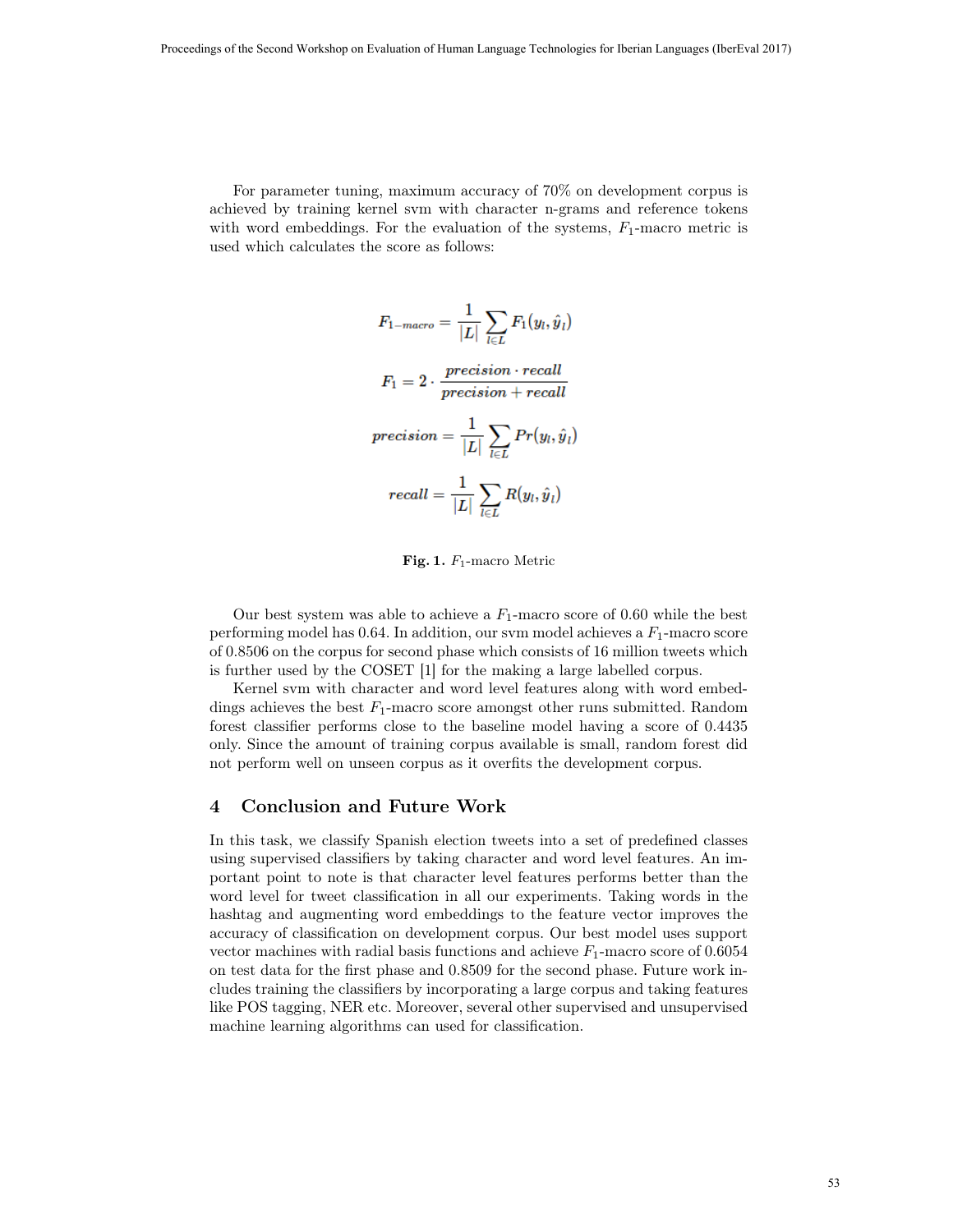For parameter tuning, maximum accuracy of 70% on development corpus is achieved by training kernel svm with character n-grams and reference tokens with word embeddings. For the evaluation of the systems,  $F_1$ -macro metric is used which calculates the score as follows:

$$
F_{1-macco} = \frac{1}{|L|} \sum_{l \in L} F_1(y_l, \hat{y}_l)
$$
\n
$$
F_1 = 2 \cdot \frac{precision \cdot recall}{precision + recall}
$$
\n
$$
precision = \frac{1}{|L|} \sum_{l \in L} Pr(y_l, \hat{y}_l)
$$
\n
$$
recall = \frac{1}{|L|} \sum_{l \in L} R(y_l, \hat{y}_l)
$$

Fig. 1.  $F_1$ -macro Metric

Our best system was able to achieve a  $F_1$ -macro score of 0.60 while the best performing model has  $0.64$ . In addition, our svm model achieves a  $F_1$ -macro score of 0.8506 on the corpus for second phase which consists of 16 million tweets which is further used by the COSET [1] for the making a large labelled corpus.

Kernel svm with character and word level features along with word embeddings achieves the best  $F_1$ -macro score amongst other runs submitted. Random forest classifier performs close to the baseline model having a score of 0.4435 only. Since the amount of training corpus available is small, random forest did not perform well on unseen corpus as it overfits the development corpus.

# 4 Conclusion and Future Work

In this task, we classify Spanish election tweets into a set of predefined classes using supervised classifiers by taking character and word level features. An important point to note is that character level features performs better than the word level for tweet classification in all our experiments. Taking words in the hashtag and augmenting word embeddings to the feature vector improves the accuracy of classification on development corpus. Our best model uses support vector machines with radial basis functions and achieve  $F_1$ -macro score of 0.6054 on test data for the first phase and 0.8509 for the second phase. Future work includes training the classifiers by incorporating a large corpus and taking features like POS tagging, NER etc. Moreover, several other supervised and unsupervised machine learning algorithms can used for classification.